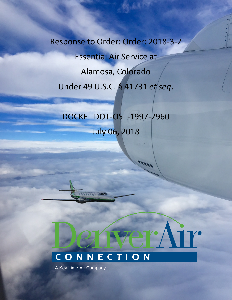Response to Order: Order: 2018-3-2 Essential Air Service at Alamosa, Colorado Under 49 U.S.C. § 41731 *et seq*.

# DOCKET DOT-OST-1997-2960

July 06, 2018

## CONNECTION

minin Jarr

A Key Lime Air Company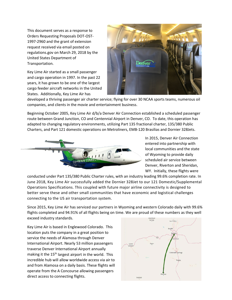This document serves as a response to Orders Requesting Proposals DOT-OST-1997-2960 and the grant of extension request received via email posted on regulations.gov on March 29, 2018 by the United States Department of Transportation.

Key Lime Air started as a small passenger and cargo operation in 1997. In the past 22 years, it has grown to be one of the largest cargo feeder aircraft networks in the United States. Additionally, Key Lime Air has



developed a thriving passenger air charter service; flying for over 30 NCAA sports teams, numerous oil companies, and clients in the movie and entertainment business.

Beginning October 2005, Key Lime Air d/b/a Denver Air Connection established a scheduled passenger route between Grand Junction, CO and Centennial Airport in Denver, CO. To date, this operation has adapted to changing regulatory environments, utilizing Part 135 fractional charter, 135/380 Public Charters, and Part 121 domestic operations on Metroliners, EMB-120 Brasilias and Dornier 328Jets.



In 2015, Denver Air Connection entered into partnership with local communities and the state of Wyoming to provide daily scheduled air service between Denver, Riverton and Sheridan, WY. Initially, these flights were

conducted under Part 135/380 Public Charter rules, with an industry leading 99.6% completion rate. In June 2018, Key Lime Air successfully added the Dornier 328Jet to our 121 Domestic/Supplemental Operations Specifications. This coupled with future major airline connectivity is designed to better serve these and other small communities that have economic and logistical challenges connecting to the US air transportation system.

Since 2015, Key Lime Air has serviced our partners in Wyoming and western Colorado daily with 99.6% flights completed and 94.91% of all flights being on time. We are proud of these numbers as they well exceed industry standards.

Key Lime Air is based in Englewood Colorado. This location puts the company in a great position to service the needs of Alamosa through Denver International Airport. Nearly 53 million passengers traverse Denver International Airport annually making it the 15<sup>th</sup> largest airport in the world. This incredible hub will allow worldwide access via air to and from Alamosa on a daily basis. These flights will operate from the A Concourse allowing passengers direct access to connecting flights.

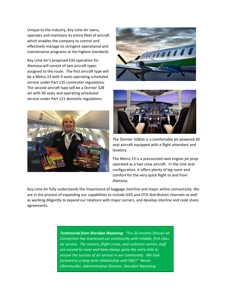Unique to the industry, Key Lime Air owns, operates and maintains its entire fleet of aircraft which enables the company to control and effectively manage its stringent operational and maintenance programs at the highest standards.

Key Lime Air's proposed EAS operation for Alamosa will consist of two aircraft types assigned to the route. The first aircraft type will be a Metro 23 with 9 seats operating scheduled service under Part 135 commuter regulations. The second aircraft type will be a Dornier 328 Jet with 30 seats and operating scheduled service under Part 121 domestic regulations.







The Dornier 328Jet is a comfortable jet powered 30 seat aircraft equipped with a flight attendant and lavatory.

The Metro 23 is a pressurized twin engine jet-prop operated as a two crew aircraft. In the nine seat configuration, it offers plenty of leg room and comfort for the very quick flight to and from Alamosa.

Key Lime Air fully understands the importance of baggage interline and major airline connectivity. We are in the process of expanding our capabilities to include GDS and OTA distribution channels as well as working diligently to expand our relations with major carriers, and develop interline and code share agreements.

> *Testimonial from Sheridan Wyoming: "For 20 months Denver Air Connection has impressed our community with reliable, first class air service. The owners, flight crews, and customer service staff are second to none and have always gone the extra mile to ensure the success of air service in our community. We look forward to a long-term relationship with DAC!" Renee Obermueller, Administrative Director, Sheridan Wyoming.*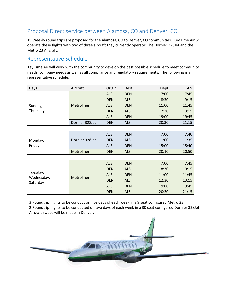#### Proposal Direct service between Alamosa, CO and Denver, CO.

19 Weekly round trips are proposed for the Alamosa, CO to Denver, CO communities. Key Lime Air will operate these flights with two of three aircraft they currently operate: The Dornier 328Jet and the Metro 23 Aircraft.

#### Representative Schedule

Key Lime Air will work with the community to develop the best possible schedule to meet community needs, company needs as well as all compliance and regulatory requirements. The following is a representative schedule:

| Days                               | Aircraft       | Origin     | Dest       | Dept  | Arr   |
|------------------------------------|----------------|------------|------------|-------|-------|
| Sunday,<br>Thursday                | Metroliner     | <b>ALS</b> | <b>DEN</b> | 7:00  | 7:45  |
|                                    |                | <b>DEN</b> | <b>ALS</b> | 8:30  | 9:15  |
|                                    |                | <b>ALS</b> | <b>DEN</b> | 11:00 | 11:45 |
|                                    |                | <b>DEN</b> | <b>ALS</b> | 12:30 | 13:15 |
|                                    |                | <b>ALS</b> | <b>DEN</b> | 19:00 | 19:45 |
|                                    | Dornier 328Jet | <b>DEN</b> | <b>ALS</b> | 20:30 | 21:15 |
|                                    |                |            |            |       |       |
| Monday,<br>Friday                  | Dornier 328Jet | <b>ALS</b> | <b>DEN</b> | 7:00  | 7:40  |
|                                    |                | <b>DEN</b> | <b>ALS</b> | 11:00 | 11:35 |
|                                    |                | <b>ALS</b> | <b>DEN</b> | 15:00 | 15:40 |
|                                    | Metroliner     | <b>DEN</b> | <b>ALS</b> | 20:10 | 20:50 |
|                                    |                |            |            |       |       |
| Tuesday,<br>Wednesday,<br>Saturday | Metroliner     | <b>ALS</b> | <b>DEN</b> | 7:00  | 7:45  |
|                                    |                | <b>DEN</b> | <b>ALS</b> | 8:30  | 9:15  |
|                                    |                | <b>ALS</b> | <b>DEN</b> | 11:00 | 11:45 |
|                                    |                | <b>DEN</b> | <b>ALS</b> | 12:30 | 13:15 |
|                                    |                | <b>ALS</b> | <b>DEN</b> | 19:00 | 19:45 |
|                                    |                | <b>DEN</b> | <b>ALS</b> | 20:30 | 21:15 |

3 Roundtrip flights to be conduct on five days of each week in a 9 seat configured Metro 23.

2 Roundtrip flights to be conducted on two days of each week in a 30 seat configured Dornier 328Jet. Aircraft swaps will be made in Denver.